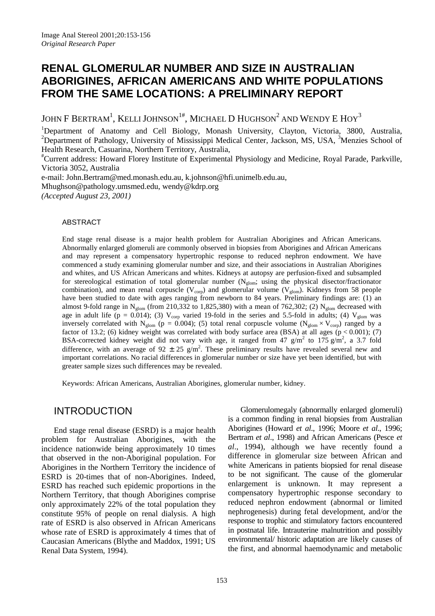# **RENAL GLOMERULAR NUMBER AND SIZE IN AUSTRALIAN ABORIGINES, AFRICAN AMERICANS AND WHITE POPULATIONS FROM THE SAME LOCATIONS: A PRELIMINARY REPORT**

JOHN F BERTRAM<sup>1</sup>, KELLI JOHNSON<sup>1#</sup>, MICHAEL D HUGHSON<sup>2</sup> AND WENDY E HOY<sup>3</sup>

<sup>1</sup>Department of Anatomy and Cell Biology, Monash University, Clayton, Victoria, 3800, Australia, <sup>2</sup>Department of Pathology, University of Mississippi Medical Center, Jackson, MS, USA, <sup>3</sup>Menzies School of Health Research, Casuarina, Northern Territory, Australia,

# Current address: Howard Florey Institute of Experimental Physiology and Medicine, Royal Parade, Parkville, Victoria 3052, Australia

e-mail: [John.Bertram@med.monash.edu.au,](mailto:John.Bertram@med.monash.edu.au) [k.johnson@hfi.unimelb.edu.au,](mailto:k.johnson@hfi.unimelb.edu.au) Mhughson@pathology.umsmed.edu, [wendy@kdrp.org](mailto:wendy@kdrp.org) *(Accepted August 23, 2001)*

#### ABSTRACT

End stage renal disease is a major health problem for Australian Aborigines and African Americans. Abnormally enlarged glomeruli are commonly observed in biopsies from Aborigines and African Americans and may represent a compensatory hypertrophic response to reduced nephron endowment. We have commenced a study examining glomerular number and size, and their associations in Australian Aborigines and whites, and US African Americans and whites. Kidneys at autopsy are perfusion-fixed and subsampled for stereological estimation of total glomerular number (N<sub>glom</sub>; using the physical disector/fractionator combination), and mean renal corpuscle ( $V_{\text{corp}}$ ) and glomerular volume ( $V_{\text{glom}}$ ). Kidneys from 58 people have been studied to date with ages ranging from newborn to 84 years. Preliminary findings are: (1) an almost 9-fold range in N<sub>glom</sub> (from 210,332 to 1,825,380) with a mean of 762,302; (2) N<sub>glom</sub> decreased with age in adult life (p = 0.014); (3)  $V_{\text{corp}}$  varied 19-fold in the series and 5.5-fold in adults; (4)  $V_{\text{glom}}$  was inversely correlated with N<sub>glom</sub> (p = 0.004); (5) total renal corpuscle volume (N<sub>glom</sub> × V<sub>corp</sub>) ranged by a factor of 13.2; (6) kidney weight was correlated with body surface area (BSA) at all ages  $(p < 0.001)$ ; (7) BSA-corrected kidney weight did not vary with age, it ranged from 47 g/m<sup>2</sup> to 175 g/m<sup>2</sup>, a 3.7 fold difference, with an average of  $92 \pm 25$  g/m<sup>2</sup>. These preliminary results have revealed several new and important correlations. No racial differences in glomerular number or size have yet been identified, but with greater sample sizes such differences may be revealed.

Keywords: African Americans, Australian Aborigines, glomerular number, kidney.

## INTRODUCTION

End stage renal disease (ESRD) is a major health problem for Australian Aborigines, with the incidence nationwide being approximately 10 times that observed in the non-Aboriginal population. For Aborigines in the Northern Territory the incidence of ESRD is 20-times that of non-Aborigines. Indeed, ESRD has reached such epidemic proportions in the Northern Territory, that though Aborigines comprise only approximately 22% of the total population they constitute 95% of people on renal dialysis. A high rate of ESRD is also observed in African Americans whose rate of ESRD is approximately 4 times that of Caucasian Americans (Blythe and Maddox, 1991; US Renal Data System, 1994).

Glomerulomegaly (abnormally enlarged glomeruli) is a common finding in renal biopsies from Australian Aborigines (Howard *et al*., 1996; Moore *et al*., 1996; Bertram *et al*., 1998) and African Americans (Pesce *et al*., 1994), although we have recently found a difference in glomerular size between African and white Americans in patients biopsied for renal disease to be not significant. The cause of the glomerular enlargement is unknown. It may represent a compensatory hypertrophic response secondary to reduced nephron endowment (abnormal or limited nephrogenesis) during fetal development, and/or the response to trophic and stimulatory factors encountered in postnatal life. Intrauterine malnutrition and possibly environmental/ historic adaptation are likely causes of the first, and abnormal haemodynamic and metabolic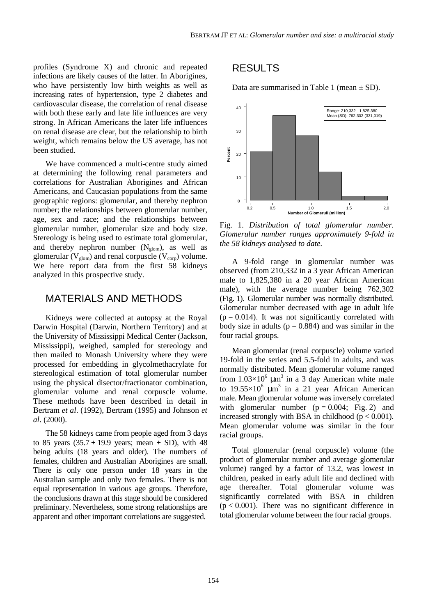profiles (Syndrome X) and chronic and repeated infections are likely causes of the latter. In Aborigines, who have persistently low birth weights as well as increasing rates of hypertension, type 2 diabetes and cardiovascular disease, the correlation of renal disease with both these early and late life influences are very strong. In African Americans the later life influences on renal disease are clear, but the relationship to birth weight, which remains below the US average, has not been studied.

We have commenced a multi-centre study aimed at determining the following renal parameters and correlations for Australian Aborigines and African Americans, and Caucasian populations from the same geographic regions: glomerular, and thereby nephron number; the relationships between glomerular number, age, sex and race; and the relationships between glomerular number, glomerular size and body size. Stereology is being used to estimate total glomerular, and thereby nephron number  $(N<sub>glom</sub>)$ , as well as glomerular ( $V_{\text{glom}}$ ) and renal corpuscle ( $V_{\text{corr}}$ ) volume. We here report data from the first 58 kidneys analyzed in this prospective study.

### MATERIALS AND METHODS

Kidneys were collected at autopsy at the Royal Darwin Hospital (Darwin, Northern Territory) and at the University of Mississippi Medical Center (Jackson, Mississippi), weighed, sampled for stereology and then mailed to Monash University where they were processed for embedding in glycolmethacrylate for stereological estimation of total glomerular number using the physical disector/fractionator combination, glomerular volume and renal corpuscle volume. These methods have been described in detail in Bertram *et al*. (1992), Bertram (1995) and Johnson *et al*. (2000).

The 58 kidneys came from people aged from 3 days to 85 years  $(35.7 \pm 19.9)$  years; mean  $\pm$  SD), with 48 being adults (18 years and older). The numbers of females, children and Australian Aborigines are small. There is only one person under 18 years in the Australian sample and only two females. There is not equal representation in various age groups. Therefore, the conclusions drawn at this stage should be considered preliminary. Nevertheless, some strong relationships are apparent and other important correlations are suggested.

## RESULTS

Data are summarised in Table 1 (mean  $\pm$  SD).



Fig. 1. *Distribution of total glomerular number. Glomerular number ranges approximately 9-fold in the 58 kidneys analysed to date.*

A 9-fold range in glomerular number was observed (from 210,332 in a 3 year African American male to 1,825,380 in a 20 year African American male), with the average number being 762,302 (Fig. 1). Glomerular number was normally distributed. Glomerular number decreased with age in adult life  $(p = 0.014)$ . It was not significantly correlated with body size in adults ( $p = 0.884$ ) and was similar in the four racial groups.

Mean glomerular (renal corpuscle) volume varied 19-fold in the series and 5.5-fold in adults, and was normally distributed. Mean glomerular volume ranged from  $1.03 \times 10^6$   $\mu$ m<sup>3</sup> in a 3 day American white male to 19.55 $\times$ 10<sup>6</sup>  $\mu$ m<sup>3</sup> in a 21 year African American male. Mean glomerular volume was inversely correlated with glomerular number  $(p = 0.004;$  Fig. 2) and increased strongly with BSA in childhood ( $p < 0.001$ ). Mean glomerular volume was similar in the four racial groups.

Total glomerular (renal corpuscle) volume (the product of glomerular number and average glomerular volume) ranged by a factor of 13.2, was lowest in children, peaked in early adult life and declined with age thereafter. Total glomerular volume was significantly correlated with BSA in children  $(p < 0.001)$ . There was no significant difference in total glomerular volume between the four racial groups.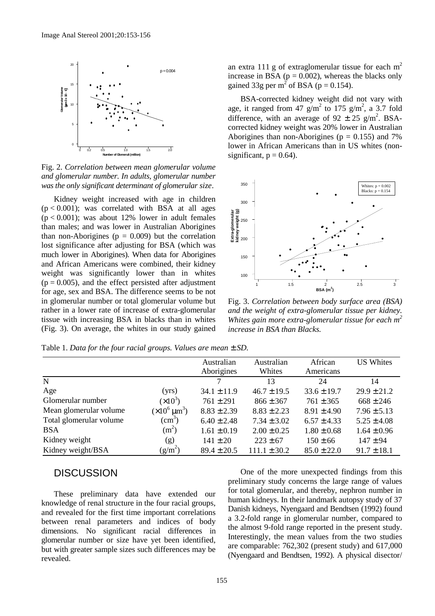

Fig. 2. *Correlation between mean glomerular volume and glomerular number. In adults, glomerular number was the only significant determinant of glomerular size*.

Kidney weight increased with age in children  $(p < 0.001)$ ; was correlated with BSA at all ages  $(p < 0.001)$ ; was about 12% lower in adult females than males; and was lower in Australian Aborigines than non-Aborigines ( $p = 0.009$ ) but the correlation lost significance after adjusting for BSA (which was much lower in Aborigines). When data for Aborigines and African Americans were combined, their kidney weight was significantly lower than in whites  $(p = 0.005)$ , and the effect persisted after adjustment for age, sex and BSA. The difference seems to be not in glomerular number or total glomerular volume but rather in a lower rate of increase of extra-glomerular tissue with increasing BSA in blacks than in whites (Fig. 3). On average, the whites in our study gained an extra 111 g of extraglomerular tissue for each  $m<sup>2</sup>$ increase in BSA ( $p = 0.002$ ), whereas the blacks only gained 33g per m<sup>2</sup> of BSA (p = 0.154).

BSA-corrected kidney weight did not vary with age, it ranged from 47  $g/m^2$  to 175  $g/m^2$ , a 3.7 fold difference, with an average of  $92 \pm 25$  g/m<sup>2</sup>. BSAcorrected kidney weight was 20% lower in Australian Aborigines than non-Aborigines ( $p = 0.155$ ) and 7% lower in African Americans than in US whites (nonsignificant,  $p = 0.64$ ).



Fig. 3. *Correlation between body surface area (BSA) and the weight of extra-glomerular tissue per kidney. Whites gain more extra-glomerular tissue for each m2 increase in BSA than Blacks.*

|                         |                                    | Australian      | Australian       | African         | <b>US Whites</b> |
|-------------------------|------------------------------------|-----------------|------------------|-----------------|------------------|
|                         |                                    | Aborigines      | Whites           | Americans       |                  |
| $\mathbf N$             |                                    |                 | 13               | 24              | 14               |
| Age                     | (yrs)                              | $34.1 \pm 11.9$ | $46.7 \pm 19.5$  | $33.6 \pm 19.7$ | $29.9 \pm 21.2$  |
| Glomerular number       | $(x10^3)$                          | $761 \pm 291$   | $866 \pm 367$    | $761 \pm 365$   | $668 \pm 246$    |
| Mean glomerular volume  | $(\times 10^6 \,\mathrm{\mu m}^3)$ | $8.83 \pm 2.39$ | $8.83 \pm 2.23$  | $8.91 \pm 4.90$ | $7.96 \pm 5.13$  |
| Total glomerular volume | $\text{(cm}^3)$                    | $6.40 \pm 2.48$ | $7.34 \pm 3.02$  | $6.57 \pm 4.33$ | $5.25 \pm 4.08$  |
| <b>BSA</b>              | $(m^2)$                            | $1.61 \pm 0.19$ | $2.00 \pm 0.25$  | $1.80 \pm 0.68$ | $1.64 \pm 0.96$  |
| Kidney weight           | (g)                                | $141 \pm 20$    | $223 \pm 67$     | $150 \pm 66$    | $147 \pm 94$     |
| Kidney weight/BSA       | $(g/m^2)$                          | $89.4 \pm 20.5$ | $111.1 \pm 30.2$ | $85.0 \pm 22.0$ | $91.7 \pm 18.1$  |

Table 1. *Data for the four racial groups. Values are mean*  $\pm$  *SD*.

### **DISCUSSION**

These preliminary data have extended our knowledge of renal structure in the four racial groups, and revealed for the first time important correlations between renal parameters and indices of body dimensions. No significant racial differences in glomerular number or size have yet been identified, but with greater sample sizes such differences may be revealed.

One of the more unexpected findings from this preliminary study concerns the large range of values for total glomerular, and thereby, nephron number in human kidneys. In their landmark autopsy study of 37 Danish kidneys, Nyengaard and Bendtsen (1992) found a 3.2-fold range in glomerular number, compared to the almost 9-fold range reported in the present study. Interestingly, the mean values from the two studies are comparable: 762,302 (present study) and 617,000 (Nyengaard and Bendtsen, 1992). A physical disector/